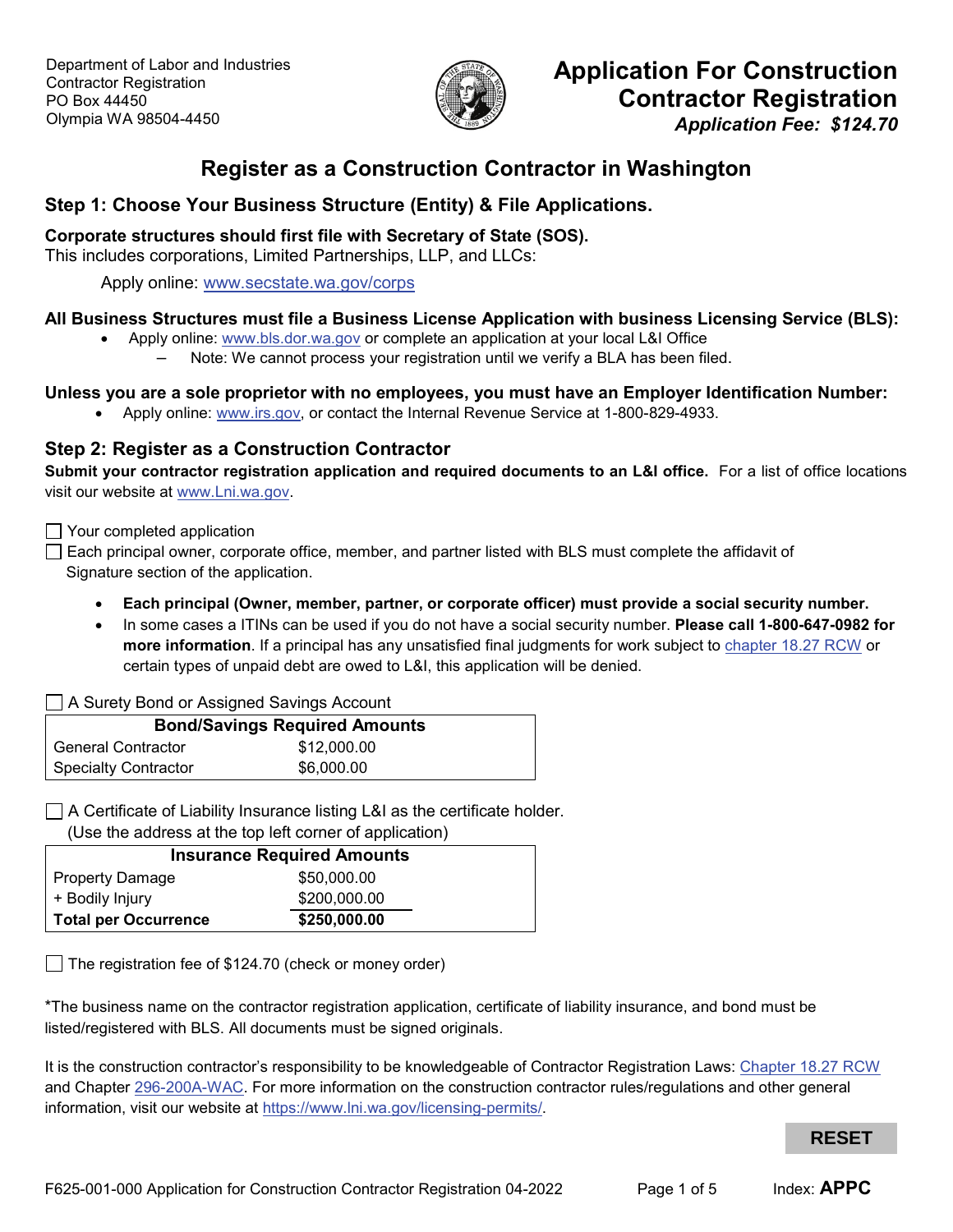

# **Application For Construction Contractor Registration** *Application Fee: \$124.70*

# **Register as a Construction Contractor in Washington**

## **Step 1: Choose Your Business Structure (Entity) & File Applications.**

### **Corporate structures should first file with Secretary of State (SOS).**

This includes corporations, Limited Partnerships, LLP, and LLCs:

Apply online: [www.secstate.wa.gov/corps](http://www.secstate.wa.gov/corps)

#### **All Business Structures must file a Business License Application with business Licensing Service (BLS):**

- Apply online: [www.bls.dor.wa.gov](http://www.bls.dor.wa.gov/) or complete an application at your local L&I Office
	- Note: We cannot process your registration until we verify a BLA has been filed.

#### **Unless you are a sole proprietor with no employees, you must have an Employer Identification Number:**

• Apply online: [www.irs.gov,](http://www.irs.gov/) or contact the Internal Revenue Service at 1-800-829-4933.

## **Step 2: Register as a Construction Contractor**

**Submit your contractor registration application and required documents to an L&I office.** For a list of office locations visit our website at [www.Lni.wa.gov.](http://www.lni.wa.gov/)

#### □ Your completed application

 $\Box$  Each principal owner, corporate office, member, and partner listed with BLS must complete the affidavit of Signature section of the application.

- **Each principal (Owner, member, partner, or corporate officer) must provide a social security number.**
- In some cases a ITINs can be used if you do not have a social security number. **Please call 1-800-647-0982 for more information**. If a principal has any unsatisfied final judgments for work subject to [chapter 18.27 RCW](https://app.leg.wa.gov/RCW/default.aspx?cite=18.27) or certain types of unpaid debt are owed to L&I, this application will be denied.

#### A Surety Bond or Assigned Savings Account

| <b>Bond/Savings Required Amounts</b> |             |  |  |  |
|--------------------------------------|-------------|--|--|--|
| <b>General Contractor</b>            | \$12,000.00 |  |  |  |
| <b>Specialty Contractor</b>          | \$6,000.00  |  |  |  |

A Certificate of Liability Insurance listing L&I as the certificate holder.

(Use the address at the top left corner of application)

| <b>Insurance Required Amounts</b> |              |  |  |  |
|-----------------------------------|--------------|--|--|--|
| Property Damage                   | \$50,000.00  |  |  |  |
| + Bodily Injury                   | \$200,000.00 |  |  |  |
| <b>Total per Occurrence</b>       | \$250,000.00 |  |  |  |

The registration fee of \$124.70 (check or money order)

\*The business name on the contractor registration application, certificate of liability insurance, and bond must be listed/registered with BLS. All documents must be signed originals.

It is the construction contractor's responsibility to be knowledgeable of Contractor Registration Laws: [Chapter 18.27 RCW](https://app.leg.wa.gov/RCW/default.aspx?cite=18.27) and Chapter [296-200A-WAC.](https://app.leg.wa.gov/wac/default.aspx?cite=296-200A) For more information on the construction contractor rules/regulations and other general information, visit our website at [https://www.lni.wa.gov/licensing-permits/.](https://www.lni.wa.gov/licensing-permits/)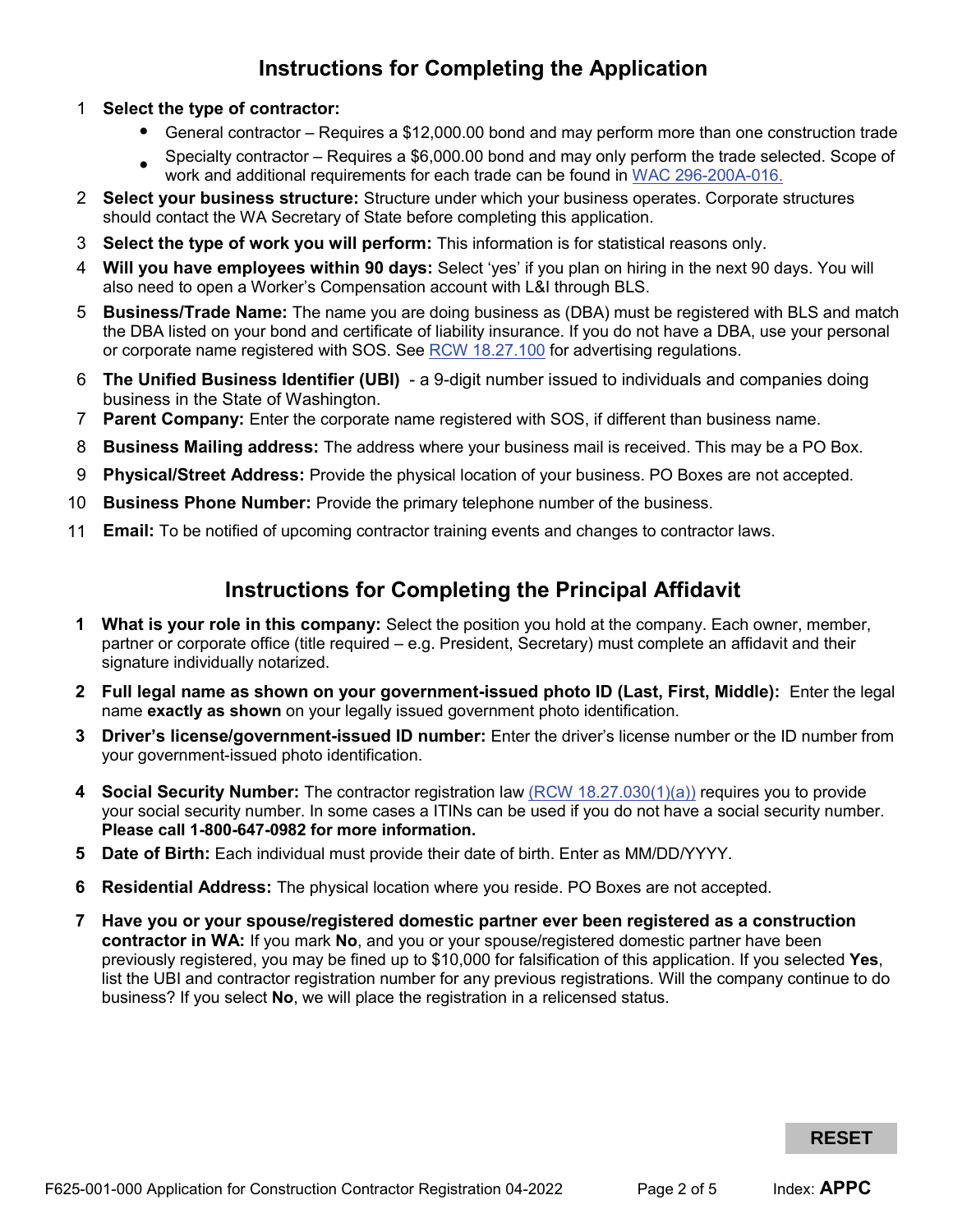# **Instructions for Completing the Application**

#### 1 **Select the type of contractor:**

- General contractor Requires a \$12,000.00 bond and may perform more than one construction trade
- Specialty contractor Requires a \$6,000.00 bond and may only perform the trade selected. Scope of work and additional requirements for each trade can be found in [WAC 296-200A-016.](https://app.leg.wa.gov/wac/default.aspx?cite=296-200A-016)
- 2 **Select your business structure:** Structure under which your business operates. Corporate structures should contact the WA Secretary of State before completing this application.
- 3 **Select the type of work you will perform:** This information is for statistical reasons only.
- 4 **Will you have employees within 90 days:** Select 'yes' if you plan on hiring in the next 90 days. You will also need to open a Worker's Compensation account with L&I through BLS.
- 5 **Business/Trade Name:** The name you are doing business as (DBA) must be registered with BLS and match the DBA listed on your bond and certificate of liability insurance. If you do not have a DBA, use your personal or corporate name registered with SOS. See [RCW 18.27.100](https://app.leg.wa.gov/RCW/default.aspx?cite=18.27.100) for advertising regulations.
- 6 **The Unified Business Identifier (UBI)**  a 9-digit number issued to individuals and companies doing business in the State of Washington.
- 7 **Parent Company:** Enter the corporate name registered with SOS, if different than business name.
- 8 **Business Mailing address:** The address where your business mail is received. This may be a PO Box.
- 9 **Physical/Street Address:** Provide the physical location of your business. PO Boxes are not accepted.
- 10 **Business Phone Number:** Provide the primary telephone number of the business.
- 11 **Email:** To be notified of upcoming contractor training events and changes to contractor laws.

## **Instructions for Completing the Principal Affidavit**

- **1 What is your role in this company:** Select the position you hold at the company. Each owner, member, partner or corporate office (title required – e.g. President, Secretary) must complete an affidavit and their signature individually notarized.
- **2 Full legal name as shown on your government-issued photo ID (Last, First, Middle):** Enter the legal name **exactly as shown** on your legally issued government photo identification.
- **3 Driver's license/government-issued ID number:** Enter the driver's license number or the ID number from your government-issued photo identification.
- **4 Social Security Number:** The contractor registration law [\(RCW 18.27.030\(1\)\(a\)\)](https://app.leg.wa.gov/RCW/default.aspx?cite=18.27.030) requires you to provide your social security number. In some cases a ITINs can be used if you do not have a social security number. **Please call 1-800-647-0982 for more information.**
- **5 Date of Birth:** Each individual must provide their date of birth. Enter as MM/DD/YYYY.
- **6 Residential Address:** The physical location where you reside. PO Boxes are not accepted.
- **7 Have you or your spouse/registered domestic partner ever been registered as a construction contractor in WA:** If you mark **No**, and you or your spouse/registered domestic partner have been previously registered, you may be fined up to \$10,000 for falsification of this application. If you selected **Yes**, list the UBI and contractor registration number for any previous registrations. Will the company continue to do business? If you select **No**, we will place the registration in a relicensed status.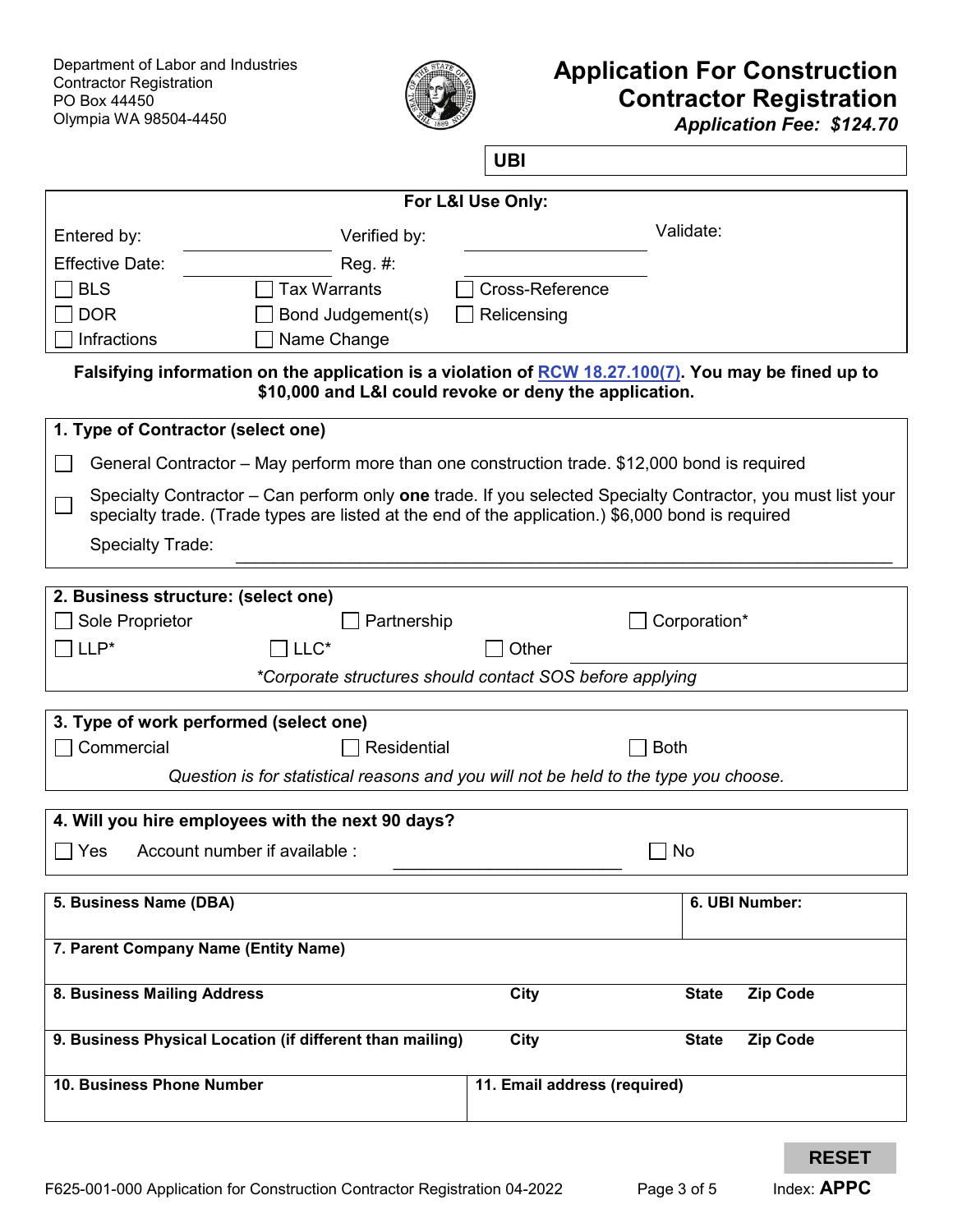Department of Labor and Industries Contractor Registration PO Box 44450 Olympia WA 98504-4450



# **Application For Construction Contractor Registration**

*Application Fee: \$124.70*

**UBI**

|                                                                                                                                                                                                                                                    | For L&I Use Only:                                                                    |  |  |  |  |  |  |
|----------------------------------------------------------------------------------------------------------------------------------------------------------------------------------------------------------------------------------------------------|--------------------------------------------------------------------------------------|--|--|--|--|--|--|
| Entered by:<br>Verified by:                                                                                                                                                                                                                        | Validate:                                                                            |  |  |  |  |  |  |
| <b>Effective Date:</b><br>Reg. #:                                                                                                                                                                                                                  |                                                                                      |  |  |  |  |  |  |
| <b>BLS</b><br><b>Tax Warrants</b>                                                                                                                                                                                                                  | Cross-Reference                                                                      |  |  |  |  |  |  |
| <b>DOR</b><br>Bond Judgement(s)                                                                                                                                                                                                                    | Relicensing                                                                          |  |  |  |  |  |  |
| Infractions<br>Name Change                                                                                                                                                                                                                         |                                                                                      |  |  |  |  |  |  |
| Falsifying information on the application is a violation of RCW 18.27.100(7). You may be fined up to<br>\$10,000 and L&I could revoke or deny the application.                                                                                     |                                                                                      |  |  |  |  |  |  |
| 1. Type of Contractor (select one)                                                                                                                                                                                                                 |                                                                                      |  |  |  |  |  |  |
| General Contractor – May perform more than one construction trade. \$12,000 bond is required                                                                                                                                                       |                                                                                      |  |  |  |  |  |  |
| Specialty Contractor – Can perform only <b>one</b> trade. If you selected Specialty Contractor, you must list your<br>specialty trade. (Trade types are listed at the end of the application.) \$6,000 bond is required<br><b>Specialty Trade:</b> |                                                                                      |  |  |  |  |  |  |
|                                                                                                                                                                                                                                                    |                                                                                      |  |  |  |  |  |  |
| 2. Business structure: (select one)                                                                                                                                                                                                                |                                                                                      |  |  |  |  |  |  |
| Sole Proprietor<br>Partnership                                                                                                                                                                                                                     | Corporation*                                                                         |  |  |  |  |  |  |
| $LLP^*$<br>$\overline{\phantom{a}}$ LLC*                                                                                                                                                                                                           | Other                                                                                |  |  |  |  |  |  |
|                                                                                                                                                                                                                                                    | *Corporate structures should contact SOS before applying                             |  |  |  |  |  |  |
|                                                                                                                                                                                                                                                    |                                                                                      |  |  |  |  |  |  |
| 3. Type of work performed (select one)<br>Commercial<br>Residential                                                                                                                                                                                | <b>Both</b>                                                                          |  |  |  |  |  |  |
|                                                                                                                                                                                                                                                    | Question is for statistical reasons and you will not be held to the type you choose. |  |  |  |  |  |  |
|                                                                                                                                                                                                                                                    |                                                                                      |  |  |  |  |  |  |
| 4. Will you hire employees with the next 90 days?                                                                                                                                                                                                  |                                                                                      |  |  |  |  |  |  |
| Account number if available :<br>Yes                                                                                                                                                                                                               | No                                                                                   |  |  |  |  |  |  |
| 5. Business Name (DBA)                                                                                                                                                                                                                             | 6. UBI Number:                                                                       |  |  |  |  |  |  |
| 7. Parent Company Name (Entity Name)                                                                                                                                                                                                               |                                                                                      |  |  |  |  |  |  |
| 8. Business Mailing Address                                                                                                                                                                                                                        | City<br><b>Zip Code</b><br><b>State</b>                                              |  |  |  |  |  |  |
| 9. Business Physical Location (if different than mailing)                                                                                                                                                                                          | Zip Code<br>City<br><b>State</b>                                                     |  |  |  |  |  |  |
| 10. Business Phone Number                                                                                                                                                                                                                          | 11. Email address (required)                                                         |  |  |  |  |  |  |

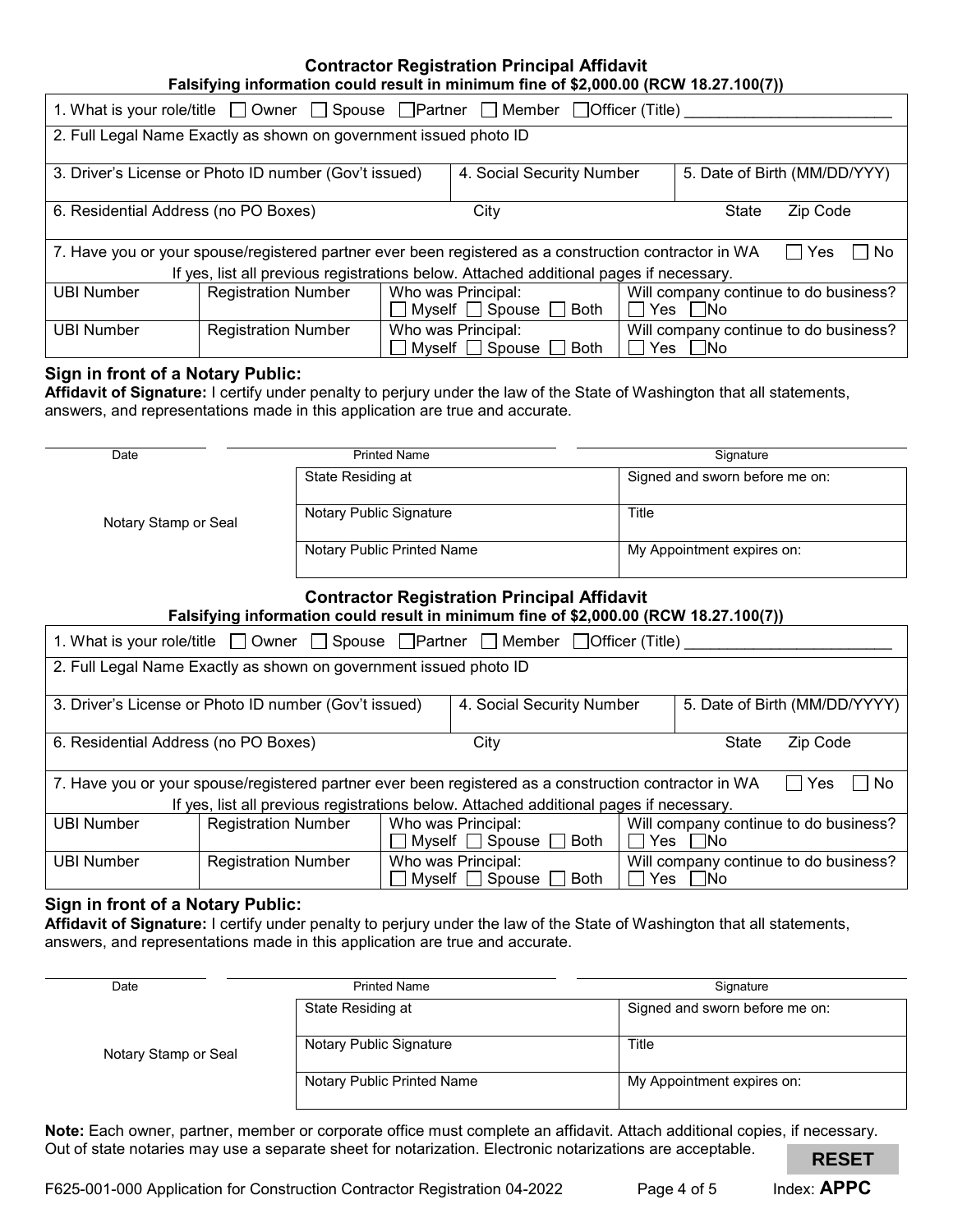#### **Contractor Registration Principal Affidavit Falsifying information could result in minimum fine of \$2,000.00 (RCW 18.27.100(7))**

| $\Gamma$ aishynny mhormation Could fesuit in minimum mie of \$2,000.00 (NGW 10.27.100(7))                                 |                            |                                                             |                                         |  |                                       |          |  |
|---------------------------------------------------------------------------------------------------------------------------|----------------------------|-------------------------------------------------------------|-----------------------------------------|--|---------------------------------------|----------|--|
| 1. What is your role/title $\Box$ Owner $\Box$ Spouse $\Box$ Partner $\Box$ Member $\Box$ Officer (Title)                 |                            |                                                             |                                         |  |                                       |          |  |
| 2. Full Legal Name Exactly as shown on government issued photo ID                                                         |                            |                                                             |                                         |  |                                       |          |  |
|                                                                                                                           |                            |                                                             |                                         |  |                                       |          |  |
| 3. Driver's License or Photo ID number (Gov't issued)                                                                     |                            |                                                             | 4. Social Security Number               |  | 5. Date of Birth (MM/DD/YYY)          |          |  |
|                                                                                                                           |                            |                                                             |                                         |  |                                       |          |  |
| 6. Residential Address (no PO Boxes)                                                                                      |                            |                                                             | City                                    |  | State                                 | Zip Code |  |
|                                                                                                                           |                            |                                                             |                                         |  |                                       |          |  |
| 7. Have you or your spouse/registered partner ever been registered as a construction contractor in WA<br>∣ ∣Yes<br>    No |                            |                                                             |                                         |  |                                       |          |  |
| If yes, list all previous registrations below. Attached additional pages if necessary.                                    |                            |                                                             |                                         |  |                                       |          |  |
| <b>UBI Number</b>                                                                                                         | <b>Registration Number</b> | Who was Principal:                                          |                                         |  | Will company continue to do business? |          |  |
|                                                                                                                           |                            | $\Box$ Myself $\Box$ Spouse $\Box$ Both                     |                                         |  | □ Yes □ No                            |          |  |
| <b>UBI Number</b>                                                                                                         | <b>Registration Number</b> | Will company continue to do business?<br>Who was Principal: |                                         |  |                                       |          |  |
|                                                                                                                           |                            |                                                             | $\Box$ Myself $\Box$ Spouse $\Box$ Both |  | $\Box$ Yes $\Box$ No                  |          |  |

#### **Sign in front of a Notary Public:**

**Affidavit of Signature:** I certify under penalty to perjury under the law of the State of Washington that all statements, answers, and representations made in this application are true and accurate.

| Date                                                                                                                                                                                                            |                                                                                                           | <b>Printed Name</b>        |                                     | Signature                      |          |                                       |  |  |
|-----------------------------------------------------------------------------------------------------------------------------------------------------------------------------------------------------------------|-----------------------------------------------------------------------------------------------------------|----------------------------|-------------------------------------|--------------------------------|----------|---------------------------------------|--|--|
|                                                                                                                                                                                                                 |                                                                                                           | State Residing at          |                                     | Signed and sworn before me on: |          |                                       |  |  |
| Notary Stamp or Seal                                                                                                                                                                                            |                                                                                                           | Notary Public Signature    |                                     | Title                          |          |                                       |  |  |
|                                                                                                                                                                                                                 |                                                                                                           | Notary Public Printed Name |                                     | My Appointment expires on:     |          |                                       |  |  |
| <b>Contractor Registration Principal Affidavit</b><br>Falsifying information could result in minimum fine of \$2,000.00 (RCW 18.27.100(7))                                                                      |                                                                                                           |                            |                                     |                                |          |                                       |  |  |
|                                                                                                                                                                                                                 | 1. What is your role/title $\Box$ Owner $\Box$ Spouse $\Box$ Partner $\Box$ Member $\Box$ Officer (Title) |                            |                                     |                                |          |                                       |  |  |
| 2. Full Legal Name Exactly as shown on government issued photo ID                                                                                                                                               |                                                                                                           |                            |                                     |                                |          |                                       |  |  |
| 5. Date of Birth (MM/DD/YYYY)<br>3. Driver's License or Photo ID number (Gov't issued)<br>4. Social Security Number                                                                                             |                                                                                                           |                            |                                     |                                |          |                                       |  |  |
| Zip Code<br>6. Residential Address (no PO Boxes)<br>City<br>State                                                                                                                                               |                                                                                                           |                            |                                     |                                |          |                                       |  |  |
| No<br>7. Have you or your spouse/registered partner ever been registered as a construction contractor in WA<br>l IYes<br>If yes, list all previous registrations below. Attached additional pages if necessary. |                                                                                                           |                            |                                     |                                |          |                                       |  |  |
| <b>UBI Number</b>                                                                                                                                                                                               | <b>Registration Number</b>                                                                                | Who was Principal:         | Myself $\Box$ Spouse $\Box$ Both    | $\Box$                         | Yes   No | Will company continue to do business? |  |  |
| <b>UBI Number</b>                                                                                                                                                                                               | <b>Registration Number</b>                                                                                | Who was Principal:         | Myself $\Box$ Spouse $\Box$<br>Both |                                | Yes   No | Will company continue to do business? |  |  |

#### **Sign in front of a Notary Public:**

**Affidavit of Signature:** I certify under penalty to perjury under the law of the State of Washington that all statements, answers, and representations made in this application are true and accurate.

| Date                 | <b>Printed Name</b>        | Signature                      |
|----------------------|----------------------------|--------------------------------|
|                      | State Residing at          | Signed and sworn before me on: |
| Notary Stamp or Seal | Notary Public Signature    | Title                          |
|                      | Notary Public Printed Name | My Appointment expires on:     |

**Note:** Each owner, partner, member or corporate office must complete an affidavit. Attach additional copies, if necessary. Out of state notaries may use a separate sheet for notarization. Electronic notarizations are acceptable.